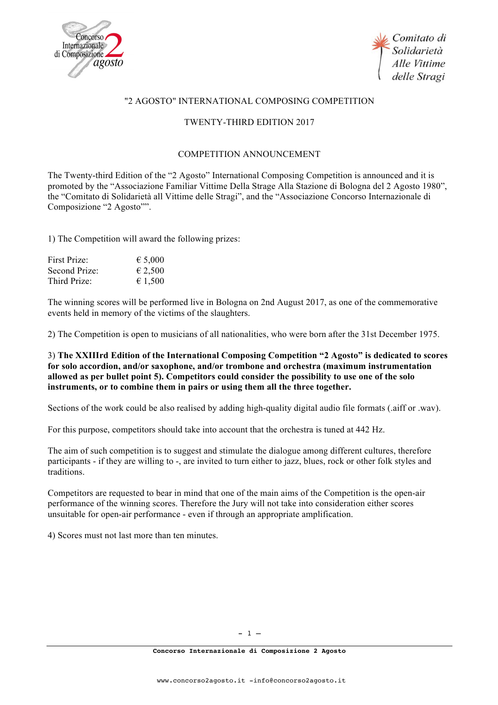



## "2 AGOSTO" INTERNATIONAL COMPOSING COMPETITION

## TWENTY-THIRD EDITION 2017

## COMPETITION ANNOUNCEMENT

The Twenty-third Edition of the "2 Agosto" International Composing Competition is announced and it is promoted by the "Associazione Familiar Vittime Della Strage Alla Stazione di Bologna del 2 Agosto 1980", the "Comitato di Solidarietà all Vittime delle Stragi", and the "Associazione Concorso Internazionale di Composizione "2 Agosto"".

1) The Competition will award the following prizes:

| First Prize:  | € 5,000          |
|---------------|------------------|
| Second Prize: | € 2,500          |
| Third Prize:  | $\epsilon$ 1,500 |

The winning scores will be performed live in Bologna on 2nd August 2017, as one of the commemorative events held in memory of the victims of the slaughters.

2) The Competition is open to musicians of all nationalities, who were born after the 31st December 1975.

## 3) **The XXIIIrd Edition of the International Composing Competition "2 Agosto" is dedicated to scores for solo accordion, and/or saxophone, and/or trombone and orchestra (maximum instrumentation allowed as per bullet point 5). Competitors could consider the possibility to use one of the solo instruments, or to combine them in pairs or using them all the three together.**

Sections of the work could be also realised by adding high-quality digital audio file formats (.aiff or .wav).

For this purpose, competitors should take into account that the orchestra is tuned at 442 Hz.

The aim of such competition is to suggest and stimulate the dialogue among different cultures, therefore participants - if they are willing to -, are invited to turn either to jazz, blues, rock or other folk styles and traditions.

Competitors are requested to bear in mind that one of the main aims of the Competition is the open-air performance of the winning scores. Therefore the Jury will not take into consideration either scores unsuitable for open-air performance - even if through an appropriate amplification.

4) Scores must not last more than ten minutes.